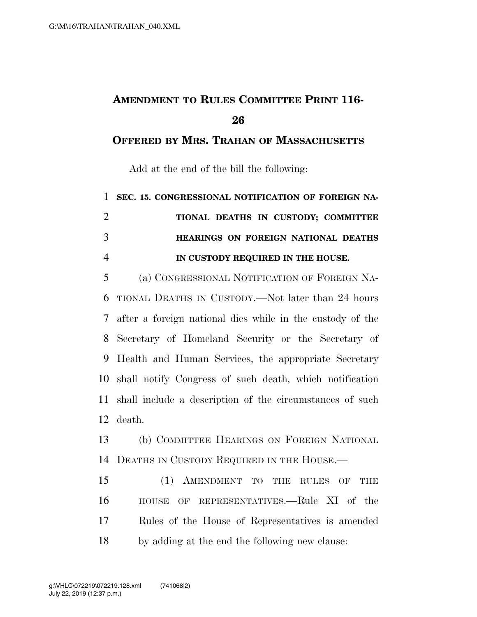## **AMENDMENT TO RULES COMMITTEE PRINT 116-**

**OFFERED BY MRS. TRAHAN OF MASSACHUSETTS**

Add at the end of the bill the following:

 **SEC. 15. CONGRESSIONAL NOTIFICATION OF FOREIGN NA- TIONAL DEATHS IN CUSTODY; COMMITTEE HEARINGS ON FOREIGN NATIONAL DEATHS IN CUSTODY REQUIRED IN THE HOUSE.** 

 (a) CONGRESSIONAL NOTIFICATION OF FOREIGN NA- TIONAL DEATHS IN CUSTODY.—Not later than 24 hours after a foreign national dies while in the custody of the Secretary of Homeland Security or the Secretary of Health and Human Services, the appropriate Secretary shall notify Congress of such death, which notification shall include a description of the circumstances of such death.

 (b) COMMITTEE HEARINGS ON FOREIGN NATIONAL DEATHS IN CUSTODY REQUIRED IN THE HOUSE.—

 (1) AMENDMENT TO THE RULES OF THE HOUSE OF REPRESENTATIVES.—Rule XI of the Rules of the House of Representatives is amended by adding at the end the following new clause: